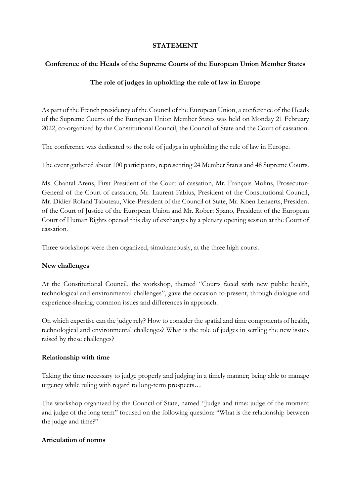### **STATEMENT**

## **Conference of the Heads of the Supreme Courts of the European Union Member States**

# **The role of judges in upholding the rule of law in Europe**

As part of the French presidency of the Council of the European Union, a conference of the Heads of the Supreme Courts of the European Union Member States was held on Monday 21 February 2022, co-organized by the Constitutional Council, the Council of State and the Court of cassation.

The conference was dedicated to the role of judges in upholding the rule of law in Europe.

The event gathered about 100 participants, representing 24 Member States and 48 Supreme Courts.

Ms. Chantal Arens, First President of the Court of cassation, Mr. François Molins, Prosecutor-General of the Court of cassation, Mr. Laurent Fabius, President of the Constitutional Council, Mr. Didier-Roland Tabuteau, Vice-President of the Council of State, Mr. Koen Lenaerts, President of the Court of Justice of the European Union and Mr. Robert Spano, President of the European Court of Human Rights opened this day of exchanges by a plenary opening session at the Court of cassation.

Three workshops were then organized, simultaneously, at the three high courts.

## **New challenges**

At the Constitutional Council, the workshop, themed "Courts faced with new public health, technological and environmental challenges", gave the occasion to present, through dialogue and experience-sharing, common issues and differences in approach.

On which expertise can the judge rely? How to consider the spatial and time components of health, technological and environmental challenges? What is the role of judges in settling the new issues raised by these challenges?

## **Relationship with time**

Taking the time necessary to judge properly and judging in a timely manner; being able to manage urgency while ruling with regard to long-term prospects…

The workshop organized by the Council of State, named "Judge and time: judge of the moment and judge of the long term" focused on the following question: "What is the relationship between the judge and time?"

## **Articulation of norms**